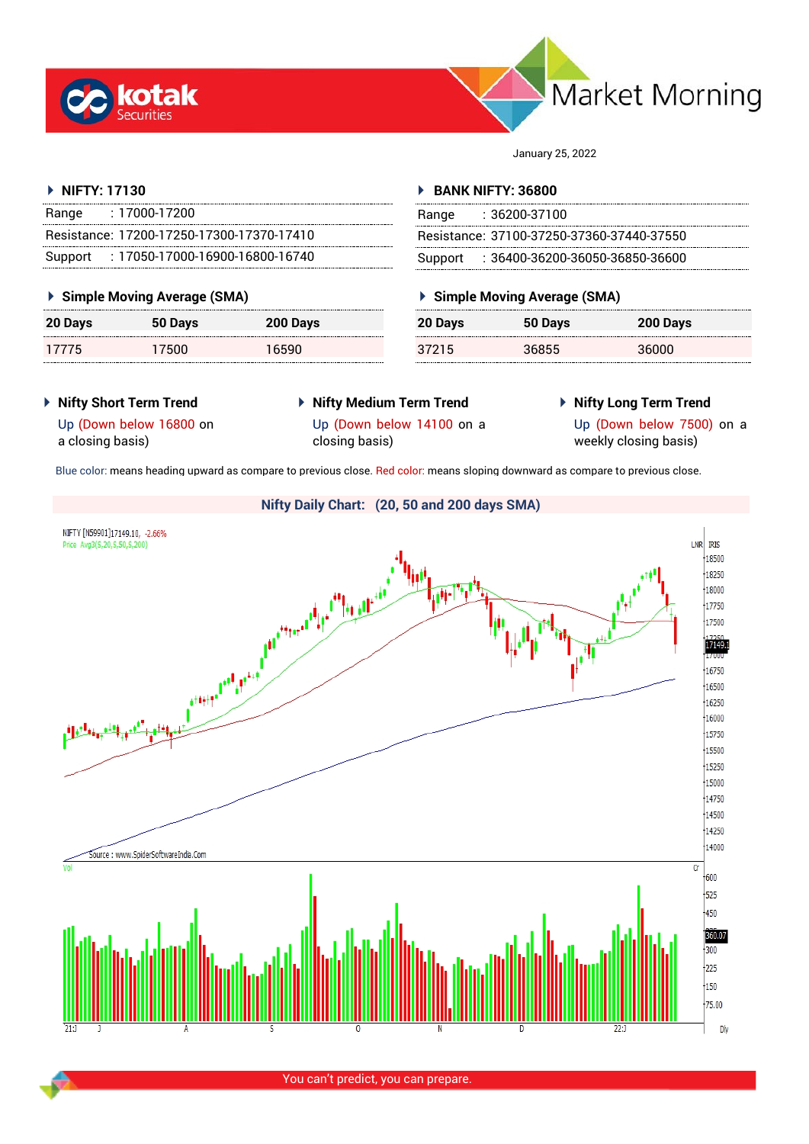



January 25, 2022

#### **NIFTY: 17130**

| Range | $: 17000 - 17200$                         |
|-------|-------------------------------------------|
|       | Resistance: 17200-17250-17300-17370-17410 |
|       | Support: 17050-17000-16900-16800-16740    |

#### **Simple Moving Average (SMA)**

| <b>20 Days</b> | 50 Days | 200 Days |
|----------------|---------|----------|
| 17775          | 17500   | 16590    |

#### **BANK NIFTY: 36800**

| Range | $: 36200 - 37100$                         |
|-------|-------------------------------------------|
|       | Resistance: 37100-37250-37360-37440-37550 |
|       | Support : 36400-36200-36050-36850-36600   |

## **Simple Moving Average (SMA)**

| 20 Days | 50 Days | 200 Days |
|---------|---------|----------|
| 37215   | 36855   | 36000    |

- **Nifty Short Term Trend**
- **Nifty Medium Term Trend** closing basis)
- **Nifty Long Term Trend**

Up (Down below 16800 on a closing basis)

Up (Down below 14100 on a

Up (Down below 7500) on a weekly closing basis)

Blue color: means heading upward as compare to previous close. Red color: means sloping downward as compare to previous close.

#### **Nifty Daily Chart: (20, 50 and 200 days SMA)**NIFTY [N59901]17149.10, -2.66% LNR RIS Price Avg3(S,20,S,50,S,200) and the first contract of the first contract of the contract of the contract of the contract of the contract o<br>And the contract of the contract of the contract of the contract of the contract of the contract of the contrac  $\frac{1}{18500}$ 18250  $\frac{1}{18000}$ 17750  $17500$ 17149.1 16750 16500  $\frac{1}{16250}$  $16000$  $15750$ 15500  $15250$  $15000$ 14750 14500 14250  $\frac{1}{14000}$ Source : www.SpiderSoftwareIndia.Com  $\overline{C}$  $600$  $+525$  $\frac{1}{1450}$ 360.07  $\frac{1}{300}$  $1225$  $\frac{1}{150}$  $75.00$ Dly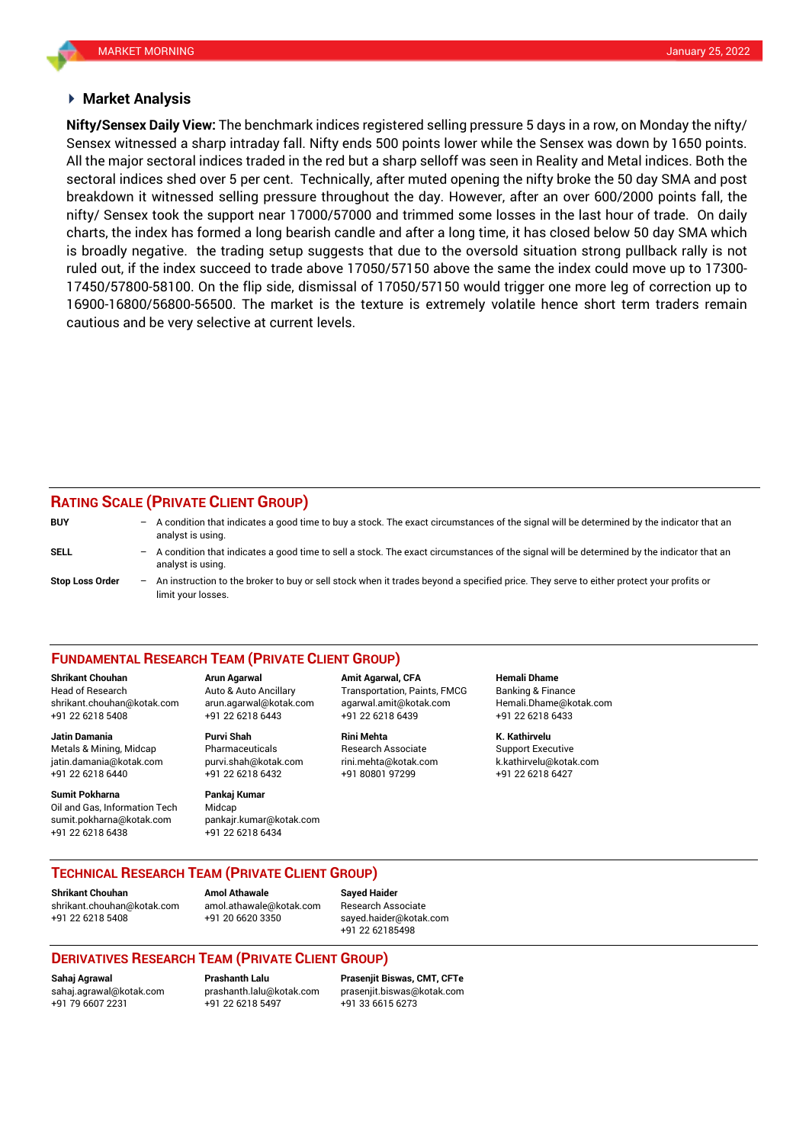#### **Market Analysis**

Sensex witnessed a sharp intraday fall. Nifty ends 500 points lower while the Sensex was down by 1650 points. sectoral indices shed over 5 per cent. Technically, after muted opening the nifty broke the 50 day SMA and post **Nifty/Sensex Daily View:** The benchmark indices registered selling pressure 5 days in a row, on Monday the nifty/ All the major sectoral indices traded in the red but a sharp selloff was seen in Reality and Metal indices. Both the breakdown it witnessed selling pressure throughout the day. However, after an over 600/2000 points fall, the nifty/ Sensex took the support near 17000/57000 and trimmed some losses in the last hour of trade. On daily charts, the index has formed a long bearish candle and after a long time, it has closed below 50 day SMA which is broadly negative. the trading setup suggests that due to the oversold situation strong pullback rally is not ruled out, if the index succeed to trade above 17050/57150 above the same the index could move up to 17300- 17450/57800-58100. On the flip side, dismissal of 17050/57150 would trigger one more leg of correction up to 16900-16800/56800-56500. The market is the texture is extremely volatile hence short term traders remain cautious and be very selective at current levels.

#### **RATING SCALE (PRIVATE CLIENT GROUP)**

| <b>BUY</b>             | $\qquad \qquad -$        | A condition that indicates a good time to buy a stock. The exact circumstances of the signal will be determined by the indicator that an<br>analyst is using.  |
|------------------------|--------------------------|----------------------------------------------------------------------------------------------------------------------------------------------------------------|
| SELL                   | $\overline{\phantom{0}}$ | A condition that indicates a good time to sell a stock. The exact circumstances of the signal will be determined by the indicator that an<br>analyst is using. |
| <b>Stop Loss Order</b> | $\overline{\phantom{0}}$ | An instruction to the broker to buy or sell stock when it trades beyond a specified price. They serve to either protect your profits or<br>limit vour losses.  |

#### **FUNDAMENTAL RESEARCH TEAM (PRIVATE CLIENT GROUP)**

**Shrikant Chouhan Arun Agarwal Amit Agarwal, CFA Hemali Dhame**

**Jatin Damania Purvi Shah Rini Mehta K. Kathirvelu** Metals & Mining, Midcap Pharmaceuticals Research Associate Support Executive jatin.damania@kotak.com [purvi.shah@kotak.com](mailto:purvi.shah@kotak.com) rini.mehta@kotak.com [k.kathirvelu@kotak.com](mailto:k.kathirvelu@kotak.com)

+91 22 6218 6440 +91 22 6218 6432 +91 80801 97299 +91 22 6218 6427 **Sumit Pokharna** Pankaj Kumar

# Oil and Gas, Information Tech Midcap sumit.pokharna@kotak.com pankajr.kumar@kotak.com

+91 22 6218 6438 +91 22 6218 6434

Head of Research Auto & Auto Ancillary Transportation, Paints, FMCG Banking & Finance [shrikant.chouhan@kotak.com](mailto:shrikant.chouhan@kotak.com) arun.agarwal@kotak.com agarwal.amit@kotak.com Hemali.Dhame@kotak.com +91 22 6218 5408 +91 22 6218 6443 +91 22 6218 6439 +91 22 6218 6433

**TECHNICAL RESEARCH TEAM (PRIVATE CLIENT GROUP)** 

[shrikant.chouhan@kotak.com](mailto:shrikant.chouhan@kotak.com) [amol.athawale@kotak.com](mailto:amol.athawale@kotak.com) Research Associate +91 22 6218 5408 +91 20 6620 3350 [sayed.haider@kotak.com](mailto:sayed.haider@kotak.com)

**Shrikant Chouhan Amol Athawale Sayed Haider**

+91 22 62185498

### **DERIVATIVES RESEARCH TEAM (PRIVATE CLIENT GROUP)**

+91 79 6607 2231 +91 22 6218 5497 +91 33 6615 6273

**Sahaj Agrawal Prashanth Lalu Prasenjit Biswas, CMT, CFTe** [sahaj.agrawal@kotak.com](mailto:sahaj.agrawal@kotak.com) [prashanth.lalu@kotak.com](mailto:prashanth.lalu@kotak.com) [prasenjit.biswas@kotak.com](mailto:prasenjit.biswas@kotak.com)